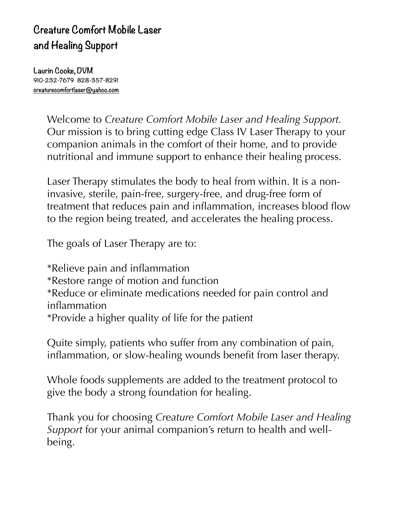## **Creature Comfort Mobile Laser and Healing Support**

**Laurin Cooke, DVM 910-232-7679 828-357-8291 [creaturecomfortlaser@yahoo.com](mailto:creaturecomfortlaser@yahoo.com)**

> Welcome to *Creature Comfort Mobile Laser and Healing Support.*  Our mission is to bring cutting edge Class IV Laser Therapy to your companion animals in the comfort of their home, and to provide nutritional and immune support to enhance their healing process.

Laser Therapy stimulates the body to heal from within. It is a noninvasive, sterile, pain-free, surgery-free, and drug-free form of treatment that reduces pain and inflammation, increases blood flow to the region being treated, and accelerates the healing process.

The goals of Laser Therapy are to:

\*Relieve pain and inflammation \*Restore range of motion and function \*Reduce or eliminate medications needed for pain control and inflammation \*Provide a higher quality of life for the patient

Quite simply, patients who suffer from any combination of pain, inflammation, or slow-healing wounds benefit from laser therapy.

Whole foods supplements are added to the treatment protocol to give the body a strong foundation for healing.

Thank you for choosing *Cr*e*ature Comfort Mobile Laser and Healing Support* for your animal companion's return to health and wellbeing.